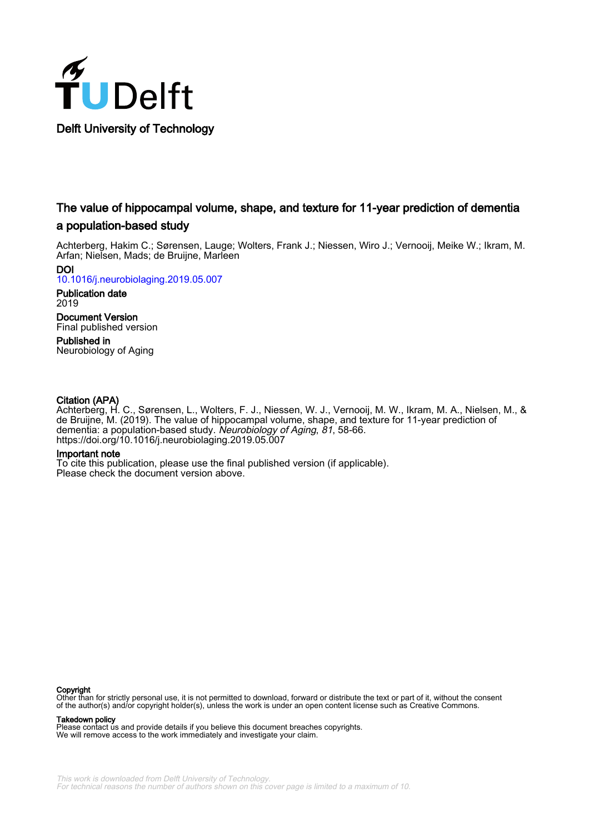

# The value of hippocampal volume, shape, and texture for 11-year prediction of dementia a population-based study

Achterberg, Hakim C.; Sørensen, Lauge; Wolters, Frank J.; Niessen, Wiro J.; Vernooij, Meike W.; Ikram, M. Arfan; Nielsen, Mads; de Bruijne, Marleen

DOI

[10.1016/j.neurobiolaging.2019.05.007](https://doi.org/10.1016/j.neurobiolaging.2019.05.007)

Publication date 2019

Document Version Final published version

Published in Neurobiology of Aging

# Citation (APA)

Achterberg, H. C., Sørensen, L., Wolters, F. J., Niessen, W. J., Vernooij, M. W., Ikram, M. A., Nielsen, M., & de Bruijne, M. (2019). The value of hippocampal volume, shape, and texture for 11-year prediction of dementia: a population-based study. Neurobiology of Aging, 81, 58-66. <https://doi.org/10.1016/j.neurobiolaging.2019.05.007>

# Important note

To cite this publication, please use the final published version (if applicable). Please check the document version above.

# Copyright

Other than for strictly personal use, it is not permitted to download, forward or distribute the text or part of it, without the consent of the author(s) and/or copyright holder(s), unless the work is under an open content license such as Creative Commons.

Takedown policy

Please contact us and provide details if you believe this document breaches copyrights. We will remove access to the work immediately and investigate your claim.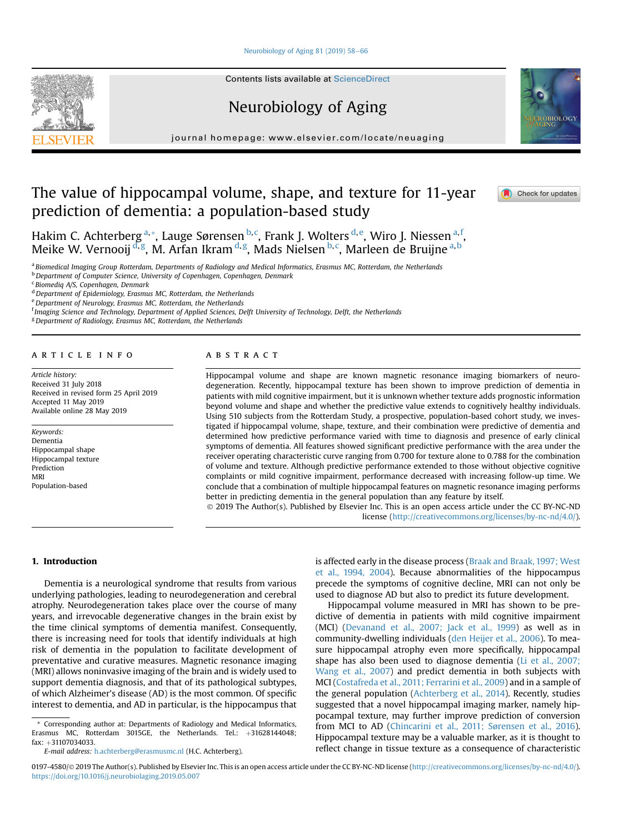#### [Neurobiology of Aging 81 \(2019\) 58](https://doi.org/10.1016/j.neurobiolaging.2019.05.007)-[66](https://doi.org/10.1016/j.neurobiolaging.2019.05.007)

**Contents lists available at ScienceDirect** 

Neurobiology of Aging

journal homepage: [www.elsevier.com/locate/neuaging](http://www.elsevier.com/locate/neuaging)

# The value of hippocampal volume, shape, and texture for 11-year prediction of dementia: a population-based study

Hakim C. Achterberg <sup>a,</sup>\*, Lauge Sørensen <sup>b, c</sup>, Frank J. Wolters <sup>d, e</sup>, Wiro J. Niessen <sup>a, f</sup>, Meike W. Vernooij <sup>d,g</sup>, M. Arfan Ikram <sup>d,g</sup>, Mads Nielsen <sup>b,c</sup>, Marleen de Bruijne <sup>a,b</sup>

a Biomedical Imaging Group Rotterdam, Departments of Radiology and Medical Informatics, Erasmus MC, Rotterdam, the Netherlands

 $<sup>b</sup>$  Department of Computer Science, University of Copenhagen, Copenhagen, Denmark</sup>

<sup>c</sup> Biomediq A/S, Copenhagen, Denmark

<sup>d</sup> Department of Epidemiology, Erasmus MC, Rotterdam, the Netherlands

<sup>e</sup> Department of Neurology, Erasmus MC, Rotterdam, the Netherlands

f Imaging Science and Technology, Department of Applied Sciences, Delft University of Technology, Delft, the Netherlands

<sup>g</sup> Department of Radiology, Erasmus MC, Rotterdam, the Netherlands

#### article info

Article history: Received 31 July 2018 Received in revised form 25 April 2019 Accepted 11 May 2019 Available online 28 May 2019

#### Keywords: Dementia Hippocampal shape Hippocampal texture Prediction MRI Population-based

# **ABSTRACT**

Hippocampal volume and shape are known magnetic resonance imaging biomarkers of neurodegeneration. Recently, hippocampal texture has been shown to improve prediction of dementia in patients with mild cognitive impairment, but it is unknown whether texture adds prognostic information beyond volume and shape and whether the predictive value extends to cognitively healthy individuals. Using 510 subjects from the Rotterdam Study, a prospective, population-based cohort study, we investigated if hippocampal volume, shape, texture, and their combination were predictive of dementia and determined how predictive performance varied with time to diagnosis and presence of early clinical symptoms of dementia. All features showed significant predictive performance with the area under the receiver operating characteristic curve ranging from 0.700 for texture alone to 0.788 for the combination of volume and texture. Although predictive performance extended to those without objective cognitive complaints or mild cognitive impairment, performance decreased with increasing follow-up time. We conclude that a combination of multiple hippocampal features on magnetic resonance imaging performs better in predicting dementia in the general population than any feature by itself. 2019 The Author(s). Published by Elsevier Inc. This is an open access article under the CC BY-NC-ND

license [\(http://creativecommons.org/licenses/by-nc-nd/4.0/](http://creativecommons.org/licenses/by-nc-nd/4.0/)).

1. Introduction

Dementia is a neurological syndrome that results from various underlying pathologies, leading to neurodegeneration and cerebral atrophy. Neurodegeneration takes place over the course of many years, and irrevocable degenerative changes in the brain exist by the time clinical symptoms of dementia manifest. Consequently, there is increasing need for tools that identify individuals at high risk of dementia in the population to facilitate development of preventative and curative measures. Magnetic resonance imaging (MRI) allows noninvasive imaging of the brain and is widely used to support dementia diagnosis, and that of its pathological subtypes, of which Alzheimer's disease (AD) is the most common. Of specific interest to dementia, and AD in particular, is the hippocampus that

\* Corresponding author at: Departments of Radiology and Medical Informatics, Erasmus MC, Rotterdam 3015GE, the Netherlands. Tel.:  $+31628144048$ ; fax: +31107034033.

E-mail address: [h.achterberg@erasmusmc.nl](mailto:h.achterberg@erasmusmc.nl) (H.C. Achterberg).

is affected early in the disease process ([Braak and Braak, 1997; West](#page-8-0) [et al., 1994, 2004](#page-8-0)). Because abnormalities of the hippocampus precede the symptoms of cognitive decline, MRI can not only be used to diagnose AD but also to predict its future development.

Hippocampal volume measured in MRI has shown to be predictive of dementia in patients with mild cognitive impairment (MCI) ([Devanand et al., 2007; Jack et al., 1999](#page-9-0)) as well as in community-dwelling individuals [\(den Heijer et al., 2006](#page-9-0)). To measure hippocampal atrophy even more specifically, hippocampal shape has also been used to diagnose dementia [\(Li et al., 2007;](#page-9-0) [Wang et al., 2007\)](#page-9-0) and predict dementia in both subjects with MCI ([Costafreda et al., 2011; Ferrarini et al., 2009\)](#page-9-0) and in a sample of the general population [\(Achterberg et al., 2014\)](#page-8-0). Recently, studies suggested that a novel hippocampal imaging marker, namely hippocampal texture, may further improve prediction of conversion from MCI to AD [\(Chincarini et al., 2011; Sørensen et al., 2016\)](#page-9-0). Hippocampal texture may be a valuable marker, as it is thought to reflect change in tissue texture as a consequence of characteristic







<sup>0197-4580/© 2019</sup> The Author(s). Published by Elsevier Inc. This is an open access article under the CC BY-NC-ND license ([http://creativecommons.org/licenses/by-nc-nd/4.0/\)](http://creativecommons.org/licenses/by-nc-nd/4.0/). <https://doi.org/10.1016/j.neurobiolaging.2019.05.007>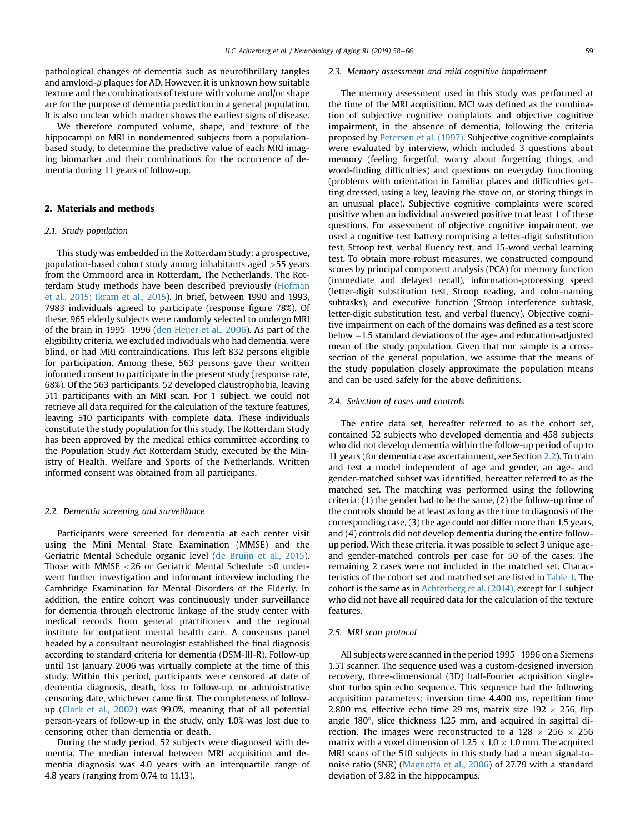pathological changes of dementia such as neurofibrillary tangles and amyloid- $\beta$  plaques for AD. However, it is unknown how suitable texture and the combinations of texture with volume and/or shape are for the purpose of dementia prediction in a general population. It is also unclear which marker shows the earliest signs of disease.

We therefore computed volume, shape, and texture of the hippocampi on MRI in nondemented subjects from a populationbased study, to determine the predictive value of each MRI imaging biomarker and their combinations for the occurrence of dementia during 11 years of follow-up.

# 2. Materials and methods

## 2.1. Study population

This study was embedded in the Rotterdam Study: a prospective, population-based cohort study among inhabitants aged >55 years from the Ommoord area in Rotterdam, The Netherlands. The Rotterdam Study methods have been described previously ([Hofman](#page-9-0) [et al., 2015; Ikram et al., 2015](#page-9-0)). In brief, between 1990 and 1993, 7983 individuals agreed to participate (response figure 78%). Of these, 965 elderly subjects were randomly selected to undergo MRI of the brain in 1995-1996 ([den Heijer et al., 2006\)](#page-9-0). As part of the eligibility criteria, we excluded individuals who had dementia, were blind, or had MRI contraindications. This left 832 persons eligible for participation. Among these, 563 persons gave their written informed consent to participate in the present study (response rate, 68%). Of the 563 participants, 52 developed claustrophobia, leaving 511 participants with an MRI scan. For 1 subject, we could not retrieve all data required for the calculation of the texture features, leaving 510 participants with complete data. These individuals constitute the study population for this study. The Rotterdam Study has been approved by the medical ethics committee according to the Population Study Act Rotterdam Study, executed by the Ministry of Health, Welfare and Sports of the Netherlands. Written informed consent was obtained from all participants.

#### 2.2. Dementia screening and surveillance

Participants were screened for dementia at each center visit using the Mini-Mental State Examination (MMSE) and the Geriatric Mental Schedule organic level [\(de Bruijn et al., 2015](#page-9-0)). Those with MMSE <26 or Geriatric Mental Schedule >0 underwent further investigation and informant interview including the Cambridge Examination for Mental Disorders of the Elderly. In addition, the entire cohort was continuously under surveillance for dementia through electronic linkage of the study center with medical records from general practitioners and the regional institute for outpatient mental health care. A consensus panel headed by a consultant neurologist established the final diagnosis according to standard criteria for dementia (DSM-III-R). Follow-up until 1st January 2006 was virtually complete at the time of this study. Within this period, participants were censored at date of dementia diagnosis, death, loss to follow-up, or administrative censoring date, whichever came first. The completeness of followup [\(Clark et al., 2002](#page-9-0)) was 99.0%, meaning that of all potential person-years of follow-up in the study, only 1.0% was lost due to censoring other than dementia or death.

During the study period, 52 subjects were diagnosed with dementia. The median interval between MRI acquisition and dementia diagnosis was 4.0 years with an interquartile range of 4.8 years (ranging from 0.74 to 11.13).

#### 2.3. Memory assessment and mild cognitive impairment

The memory assessment used in this study was performed at the time of the MRI acquisition. MCI was defined as the combination of subjective cognitive complaints and objective cognitive impairment, in the absence of dementia, following the criteria proposed by [Petersen et al. \(1997\)](#page-9-0). Subjective cognitive complaints were evaluated by interview, which included 3 questions about memory (feeling forgetful, worry about forgetting things, and word-finding difficulties) and questions on everyday functioning (problems with orientation in familiar places and difficulties getting dressed, using a key, leaving the stove on, or storing things in an unusual place). Subjective cognitive complaints were scored positive when an individual answered positive to at least 1 of these questions. For assessment of objective cognitive impairment, we used a cognitive test battery comprising a letter-digit substitution test, Stroop test, verbal fluency test, and 15-word verbal learning test. To obtain more robust measures, we constructed compound scores by principal component analysis (PCA) for memory function (immediate and delayed recall), information-processing speed (letter-digit substitution test, Stroop reading, and color-naming subtasks), and executive function (Stroop interference subtask, letter-digit substitution test, and verbal fluency). Objective cognitive impairment on each of the domains was defined as a test score below -1.5 standard deviations of the age- and education-adjusted mean of the study population. Given that our sample is a crosssection of the general population, we assume that the means of the study population closely approximate the population means and can be used safely for the above definitions.

#### 2.4. Selection of cases and controls

The entire data set, hereafter referred to as the cohort set, contained 52 subjects who developed dementia and 458 subjects who did not develop dementia within the follow-up period of up to 11 years (for dementia case ascertainment, see Section 2.2). To train and test a model independent of age and gender, an age- and gender-matched subset was identified, hereafter referred to as the matched set. The matching was performed using the following criteria: (1) the gender had to be the same, (2) the follow-up time of the controls should be at least as long as the time to diagnosis of the corresponding case, (3) the age could not differ more than 1.5 years, and (4) controls did not develop dementia during the entire followup period. With these criteria, it was possible to select 3 unique ageand gender-matched controls per case for 50 of the cases. The remaining 2 cases were not included in the matched set. Characteristics of the cohort set and matched set are listed in [Table 1.](#page-3-0) The cohort is the same as in [Achterberg et al. \(2014\),](#page-8-0) except for 1 subject who did not have all required data for the calculation of the texture features.

#### 2.5. MRI scan protocol

All subjects were scanned in the period 1995-1996 on a Siemens 1.5T scanner. The sequence used was a custom-designed inversion recovery, three-dimensional (3D) half-Fourier acquisition singleshot turbo spin echo sequence. This sequence had the following acquisition parameters: inversion time 4.400 ms, repetition time 2.800 ms, effective echo time 29 ms, matrix size  $192 \times 256$ , flip angle  $180^\circ$ , slice thickness 1.25 mm, and acquired in sagittal direction. The images were reconstructed to a 128  $\times$  256  $\times$  256 matrix with a voxel dimension of  $1.25 \times 1.0 \times 1.0$  mm. The acquired MRI scans of the 510 subjects in this study had a mean signal-tonoise ratio (SNR) ([Magnotta et al., 2006](#page-9-0)) of 27.79 with a standard deviation of 3.82 in the hippocampus.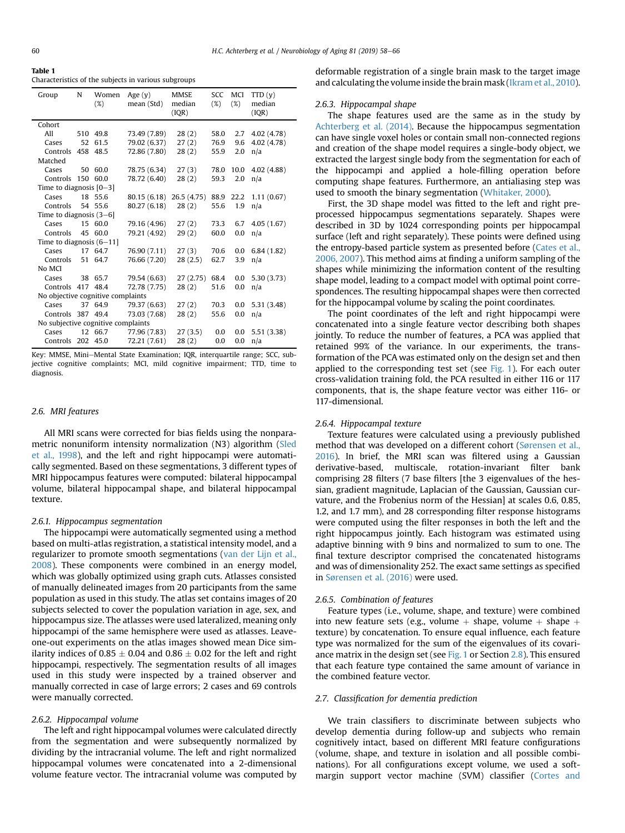<span id="page-3-0"></span>Table 1

Characteristics of the subjects in various subgroups

| Group                              | N  | Women<br>(%) | Age $(v)$<br>mean (Std) | <b>MMSE</b><br>median<br>(IQR) | <b>SCC</b><br>(%) | MCI<br>$(\%)$ | TTD(y)<br>median<br>(IQR) |  |
|------------------------------------|----|--------------|-------------------------|--------------------------------|-------------------|---------------|---------------------------|--|
| Cohort                             |    |              |                         |                                |                   |               |                           |  |
| All                                |    | 510 49.8     | 73.49 (7.89)            | 28(2)                          | 58.0              | 2.7           | 4.02 (4.78)               |  |
| Cases                              | 52 | 61.5         | 79.02 (6.37)            | 27(2)                          | 76.9              | 9.6           | 4.02 (4.78)               |  |
| Controls                           |    | 458 48.5     | 72.86 (7.80)            | 28(2)                          | 55.9              | 2.0           | n/a                       |  |
| Matched                            |    |              |                         |                                |                   |               |                           |  |
| Cases                              |    | 50 60.0      | 78.75 (6.34)            | 27(3)                          | 78.0              | 10.0          | 4.02 (4.88)               |  |
| Controls                           |    | 150 60.0     | 78.72 (6.40)            | 28(2)                          | 59.3              | 2.0           | n/a                       |  |
| Time to diagnosis [0-3]            |    |              |                         |                                |                   |               |                           |  |
| Cases                              |    | 18 55.6      | 80.15 (6.18)            | 26.5(4.75)                     | 88.9              | 22.2          | 1.11(0.67)                |  |
| Controls                           |    | 54 55.6      | 80.27 (6.18)            | 28(2)                          | 55.6              | 1.9           | n/a                       |  |
| Time to diagnosis (3-6)            |    |              |                         |                                |                   |               |                           |  |
| Cases                              |    | 15 60.0      | 79.16 (4.96)            | 27(2)                          | 73.3              | 6.7           | 4.05(1.67)                |  |
| Controls                           | 45 | 60.0         | 79.21 (4.92)            | 29(2)                          | 60.0              | 0.0           | n/a                       |  |
| Time to diagnosis $(6-11)$         |    |              |                         |                                |                   |               |                           |  |
| Cases                              |    | 17 64.7      | 76.90 (7.11)            | 27(3)                          | 70.6              | 0.0           | 6.84(1.82)                |  |
| Controls                           | 51 | 64.7         | 76.66 (7.20)            | 28(2.5)                        | 62.7              | 3.9           | n/a                       |  |
| No MCI                             |    |              |                         |                                |                   |               |                           |  |
| Cases                              |    | 38 65.7      | 79.54 (6.63)            | 27(2.75)                       | 68.4              | 0.0           | 5.30(3.73)                |  |
| Controls 417 48.4                  |    |              | 72.78 (7.75)            | 28(2)                          | 51.6              | 0.0           | n/a                       |  |
| No objective cognitive complaints  |    |              |                         |                                |                   |               |                           |  |
| Cases                              |    | 37 64.9      | 79.37 (6.63)            | 27(2)                          | 70.3              | 0.0           | 5.31 (3.48)               |  |
| Controls 387                       |    | 49.4         | 73.03 (7.68)            | 28(2)                          | 55.6              | 0.0           | n/a                       |  |
| No subjective cognitive complaints |    |              |                         |                                |                   |               |                           |  |
| Cases                              |    | 12 66.7      | 77.96 (7.83)            | 27(3.5)                        | 0.0               | 0.0           | 5.51 (3.38)               |  |
| Controls 202 45.0                  |    |              | 72.21 (7.61)            | 28(2)                          | 0.0               | 0.0           | n/a                       |  |

Key: MMSE, Mini-Mental State Examination; IQR, interquartile range; SCC, subjective cognitive complaints; MCI, mild cognitive impairment; TTD, time to diagnosis.

## 2.6. MRI features

All MRI scans were corrected for bias fields using the nonparametric nonuniform intensity normalization (N3) algorithm ([Sled](#page-9-0) [et al., 1998](#page-9-0)), and the left and right hippocampi were automatically segmented. Based on these segmentations, 3 different types of MRI hippocampus features were computed: bilateral hippocampal volume, bilateral hippocampal shape, and bilateral hippocampal texture.

## 2.6.1. Hippocampus segmentation

The hippocampi were automatically segmented using a method based on multi-atlas registration, a statistical intensity model, and a regularizer to promote smooth segmentations [\(van der Lijn et al.,](#page-9-0) [2008](#page-9-0)). These components were combined in an energy model, which was globally optimized using graph cuts. Atlasses consisted of manually delineated images from 20 participants from the same population as used in this study. The atlas set contains images of 20 subjects selected to cover the population variation in age, sex, and hippocampus size. The atlasses were used lateralized, meaning only hippocampi of the same hemisphere were used as atlasses. Leaveone-out experiments on the atlas images showed mean Dice similarity indices of 0.85  $\pm$  0.04 and 0.86  $\pm$  0.02 for the left and right hippocampi, respectively. The segmentation results of all images used in this study were inspected by a trained observer and manually corrected in case of large errors; 2 cases and 69 controls were manually corrected.

#### 2.6.2. Hippocampal volume

The left and right hippocampal volumes were calculated directly from the segmentation and were subsequently normalized by dividing by the intracranial volume. The left and right normalized hippocampal volumes were concatenated into a 2-dimensional volume feature vector. The intracranial volume was computed by

deformable registration of a single brain mask to the target image and calculating the volume inside the brain mask [\(Ikram et al., 2010\)](#page-9-0).

#### 2.6.3. Hippocampal shape

The shape features used are the same as in the study by [Achterberg et al. \(2014\)](#page-8-0). Because the hippocampus segmentation can have single voxel holes or contain small non-connected regions and creation of the shape model requires a single-body object, we extracted the largest single body from the segmentation for each of the hippocampi and applied a hole-filling operation before computing shape features. Furthermore, an antialiasing step was used to smooth the binary segmentation ([Whitaker, 2000\)](#page-9-0).

First, the 3D shape model was fitted to the left and right preprocessed hippocampus segmentations separately. Shapes were described in 3D by 1024 corresponding points per hippocampal surface (left and right separately). These points were defined using the entropy-based particle system as presented before [\(Cates et al.,](#page-8-0) [2006, 2007\)](#page-8-0). This method aims at finding a uniform sampling of the shapes while minimizing the information content of the resulting shape model, leading to a compact model with optimal point correspondences. The resulting hippocampal shapes were then corrected for the hippocampal volume by scaling the point coordinates.

The point coordinates of the left and right hippocampi were concatenated into a single feature vector describing both shapes jointly. To reduce the number of features, a PCA was applied that retained 99% of the variance. In our experiments, the transformation of the PCA was estimated only on the design set and then applied to the corresponding test set (see [Fig. 1\)](#page-4-0). For each outer cross-validation training fold, the PCA resulted in either 116 or 117 components, that is, the shape feature vector was either 116- or 117-dimensional.

#### 2.6.4. Hippocampal texture

Texture features were calculated using a previously published method that was developed on a different cohort ([Sørensen et al.,](#page-9-0) [2016\)](#page-9-0). In brief, the MRI scan was filtered using a Gaussian derivative-based, multiscale, rotation-invariant filter bank comprising 28 filters (7 base filters [the 3 eigenvalues of the hessian, gradient magnitude, Laplacian of the Gaussian, Gaussian curvature, and the Frobenius norm of the Hessian] at scales 0.6, 0.85, 1.2, and 1.7 mm), and 28 corresponding filter response histograms were computed using the filter responses in both the left and the right hippocampus jointly. Each histogram was estimated using adaptive binning with 9 bins and normalized to sum to one. The final texture descriptor comprised the concatenated histograms and was of dimensionality 252. The exact same settings as specified in [Sørensen et al. \(2016\)](#page-9-0) were used.

## 2.6.5. Combination of features

Feature types (i.e., volume, shape, and texture) were combined into new feature sets (e.g., volume  $+$  shape, volume  $+$  shape  $+$ texture) by concatenation. To ensure equal influence, each feature type was normalized for the sum of the eigenvalues of its covariance matrix in the design set (see [Fig. 1](#page-4-0) or Section [2.8](#page-4-0)). This ensured that each feature type contained the same amount of variance in the combined feature vector.

#### 2.7. Classification for dementia prediction

We train classifiers to discriminate between subjects who develop dementia during follow-up and subjects who remain cognitively intact, based on different MRI feature configurations (volume, shape, and texture in isolation and all possible combinations). For all configurations except volume, we used a softmargin support vector machine (SVM) classifier ([Cortes and](#page-9-0)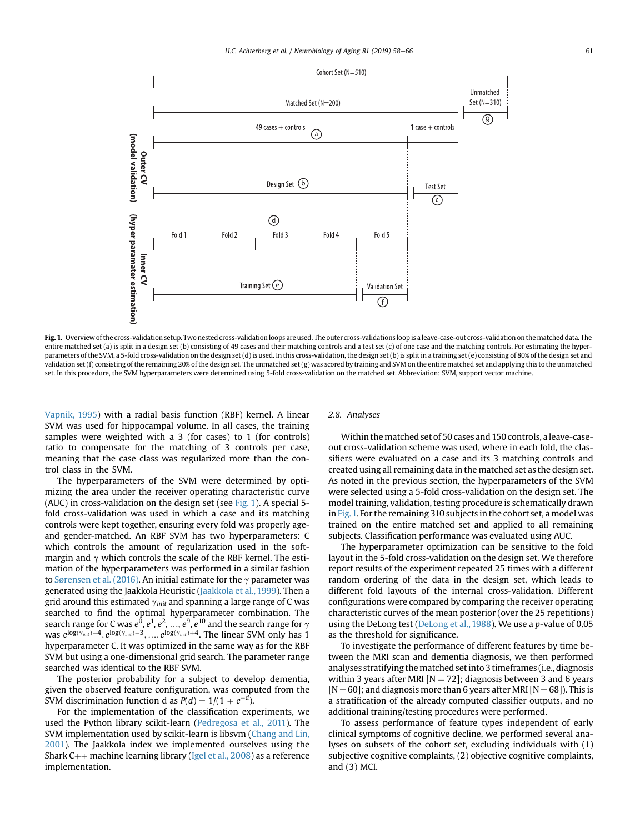<span id="page-4-0"></span>

Fig. 1. Overview of the cross-validation setup. Two nested cross-validation loops are used. The outer cross-validations loop is a leave-case-out cross-validation on the matched data. The entire matched set (a) is split in a design set (b) consisting of 49 cases and their matching controls and a test set (c) of one case and the matching controls. For estimating the hyperparameters of the SVM, a 5-fold cross-validation on the design set (d) is used. In this cross-validation, the design set (b) is split in a training set (e) consisting of 80% of the design set and validation set (f) consisting of the remaining 20% of the design set. The unmatched set (g) was scored by training and SVM on the entire matched set and applying this to the unmatched set. In this procedure, the SVM hyperparameters were determined using 5-fold cross-validation on the matched set. Abbreviation: SVM, support vector machine.

[Vapnik, 1995](#page-9-0)) with a radial basis function (RBF) kernel. A linear SVM was used for hippocampal volume. In all cases, the training samples were weighted with a 3 (for cases) to 1 (for controls) ratio to compensate for the matching of 3 controls per case, meaning that the case class was regularized more than the control class in the SVM.

The hyperparameters of the SVM were determined by optimizing the area under the receiver operating characteristic curve (AUC) in cross-validation on the design set (see Fig. 1). A special 5 fold cross-validation was used in which a case and its matching controls were kept together, ensuring every fold was properly ageand gender-matched. An RBF SVM has two hyperparameters: C which controls the amount of regularization used in the softmargin and  $\gamma$  which controls the scale of the RBF kernel. The estimation of the hyperparameters was performed in a similar fashion to [Sørensen et al. \(2016\).](#page-9-0) An initial estimate for the  $\gamma$  parameter was generated using the Jaakkola Heuristic [\(Jaakkola et al., 1999\)](#page-9-0). Then a grid around this estimated  $\gamma_{init}$  and spanning a large range of C was searched to find the optimal hyperparameter combination. The search range for C was  $e^0$ ,  $e^1$ ,  $e^2$ , ...,  $e^9$ ,  $e^{10}$  and the search range for  $\gamma$ <br>was  $e^{\log(\gamma_{\text{init}})-4}$   $e^{\log(\gamma_{\text{init}})-3}$   $e^{\log(\gamma_{\text{init}})+4}$ . The linear SVM only has 1 was  $e^{\log(\gamma_{\mathsf{init}}) - 4}, e^{\log(\gamma_{\mathsf{init}}) - 3}, ..., e^{\log(\gamma_{\mathsf{init}}) + 4}.$  The linear SVM only has 1 hyperparameter C. It was optimized in the same way as for the RBF SVM but using a one-dimensional grid search. The parameter range searched was identical to the RBF SVM.

The posterior probability for a subject to develop dementia, given the observed feature configuration, was computed from the SVM discrimination function d as  $P(d) = 1/(1 + e^{-d}).$ 

For the implementation of the classification experiments, we used the Python library scikit-learn [\(Pedregosa et al., 2011\)](#page-9-0). The SVM implementation used by scikit-learn is libsvm ([Chang and Lin,](#page-9-0) [2001\)](#page-9-0). The Jaakkola index we implemented ourselves using the Shark  $C_{++}$  machine learning library [\(Igel et al., 2008](#page-9-0)) as a reference implementation.

# 2.8. Analyses

Within the matched set of 50 cases and 150 controls, a leave-caseout cross-validation scheme was used, where in each fold, the classifiers were evaluated on a case and its 3 matching controls and created using all remaining data in the matched set as the design set. As noted in the previous section, the hyperparameters of the SVM were selected using a 5-fold cross-validation on the design set. The model training, validation, testing procedure is schematically drawn in Fig.1. For the remaining 310 subjects in the cohort set, a model was trained on the entire matched set and applied to all remaining subjects. Classification performance was evaluated using AUC.

The hyperparameter optimization can be sensitive to the fold layout in the 5-fold cross-validation on the design set. We therefore report results of the experiment repeated 25 times with a different random ordering of the data in the design set, which leads to different fold layouts of the internal cross-validation. Different configurations were compared by comparing the receiver operating characteristic curves of the mean posterior (over the 25 repetitions) using the DeLong test [\(DeLong et al., 1988\)](#page-9-0). We use a p-value of 0.05 as the threshold for significance.

To investigate the performance of different features by time between the MRI scan and dementia diagnosis, we then performed analyses stratifying the matched set into 3 timeframes (i.e., diagnosis within 3 years after MRI  $[N = 72]$ ; diagnosis between 3 and 6 years  $[N = 60]$ ; and diagnosis more than 6 years after MRI  $[N = 68]$ ). This is a stratification of the already computed classifier outputs, and no additional training/testing procedures were performed.

To assess performance of feature types independent of early clinical symptoms of cognitive decline, we performed several analyses on subsets of the cohort set, excluding individuals with (1) subjective cognitive complaints, (2) objective cognitive complaints, and (3) MCI.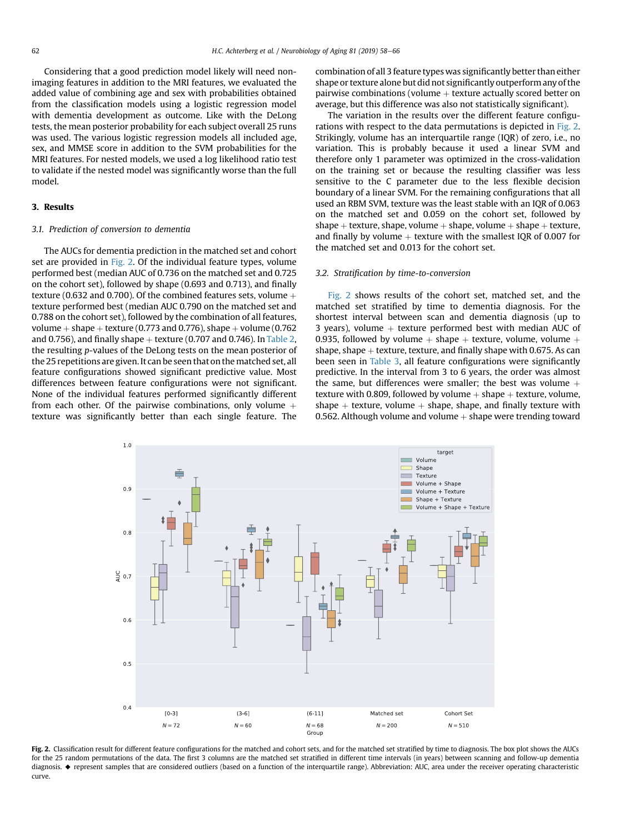<span id="page-5-0"></span>Considering that a good prediction model likely will need nonimaging features in addition to the MRI features, we evaluated the added value of combining age and sex with probabilities obtained from the classification models using a logistic regression model with dementia development as outcome. Like with the DeLong tests, the mean posterior probability for each subject overall 25 runs was used. The various logistic regression models all included age, sex, and MMSE score in addition to the SVM probabilities for the MRI features. For nested models, we used a log likelihood ratio test to validate if the nested model was significantly worse than the full model.

### 3. Results

## 3.1. Prediction of conversion to dementia

The AUCs for dementia prediction in the matched set and cohort set are provided in Fig. 2. Of the individual feature types, volume performed best (median AUC of 0.736 on the matched set and 0.725 on the cohort set), followed by shape (0.693 and 0.713), and finally texture (0.632 and 0.700). Of the combined features sets, volume  $+$ texture performed best (median AUC 0.790 on the matched set and 0.788 on the cohort set), followed by the combination of all features, volume  $+$  shape  $+$  texture (0.773 and 0.776), shape  $+$  volume (0.762) and 0.756), and finally shape  $+$  texture (0.707 and 0.746). In [Table 2,](#page-6-0) the resulting p-values of the DeLong tests on the mean posterior of the 25 repetitions are given. It can be seen that on the matched set, all feature configurations showed significant predictive value. Most differences between feature configurations were not significant. None of the individual features performed significantly different from each other. Of the pairwise combinations, only volume  $+$ texture was significantly better than each single feature. The

combination of all 3 feature types was significantly better than either shape or texture alone but did not significantly outperform any of the pairwise combinations (volume  $+$  texture actually scored better on average, but this difference was also not statistically significant).

The variation in the results over the different feature configurations with respect to the data permutations is depicted in Fig. 2. Strikingly, volume has an interquartile range (IQR) of zero, i.e., no variation. This is probably because it used a linear SVM and therefore only 1 parameter was optimized in the cross-validation on the training set or because the resulting classifier was less sensitive to the C parameter due to the less flexible decision boundary of a linear SVM. For the remaining configurations that all used an RBM SVM, texture was the least stable with an IQR of 0.063 on the matched set and 0.059 on the cohort set, followed by shape + texture, shape, volume + shape, volume + shape + texture, and finally by volume  $+$  texture with the smallest IQR of 0.007 for the matched set and 0.013 for the cohort set.

#### 3.2. Stratification by time-to-conversion

Fig. 2 shows results of the cohort set, matched set, and the matched set stratified by time to dementia diagnosis. For the shortest interval between scan and dementia diagnosis (up to 3 years), volume  $+$  texture performed best with median AUC of 0.935, followed by volume  $+$  shape  $+$  texture, volume, volume  $+$ shape, shape  $+$  texture, texture, and finally shape with 0.675. As can been seen in [Table 3](#page-6-0), all feature configurations were significantly predictive. In the interval from 3 to 6 years, the order was almost the same, but differences were smaller; the best was volume  $+$ texture with 0.809, followed by volume  $+$  shape  $+$  texture, volume, shape  $+$  texture, volume  $+$  shape, shape, and finally texture with 0.562. Although volume and volume  $+$  shape were trending toward



Fig. 2. Classification result for different feature configurations for the matched and cohort sets, and for the matched set stratified by time to diagnosis. The box plot shows the AUCs for the 25 random permutations of the data. The first 3 columns are the matched set stratified in different time intervals (in years) between scanning and follow-up dementia diagnosis. A represent samples that are considered outliers (based on a function of the interquartile range). Abbreviation: AUC, area under the receiver operating characteristic curve.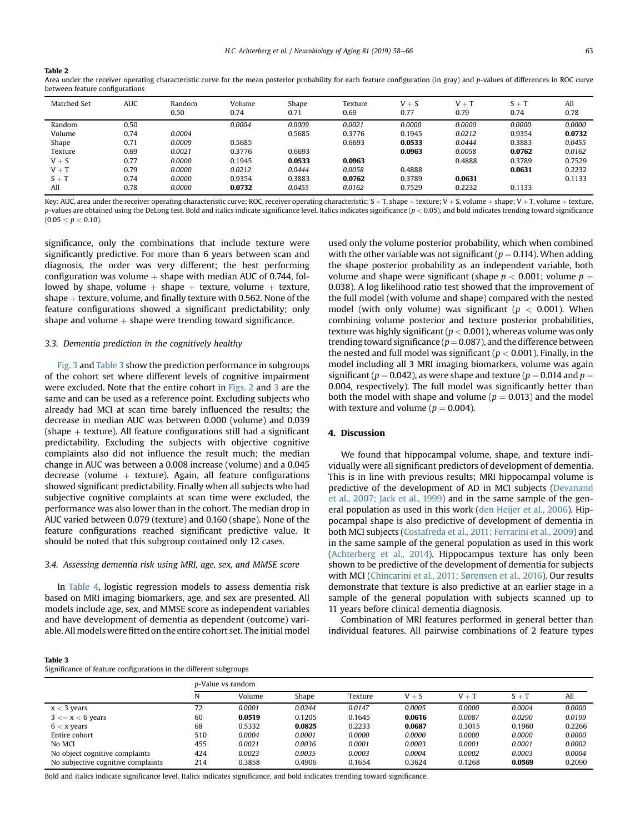<span id="page-6-0"></span>

| n |  |
|---|--|

Area under the receiver operating characteristic curve for the mean posterior probability for each feature configuration (in gray) and p-values of differences in ROC curve between feature configurations

| Matched Set | <b>AUC</b> | Random<br>0.50 | Volume<br>0.74 | Shape<br>0.71 | Texture<br>0.69 | $V + S$<br>0.77 | $V + T$<br>0.79 | $S + T$<br>0.74 | All<br>0.78 |
|-------------|------------|----------------|----------------|---------------|-----------------|-----------------|-----------------|-----------------|-------------|
| Random      | 0.50       |                | 0.0004         | 0.0009        | 0.0021          | 0.0000          | 0.0000          | 0.0000          | 0.0000      |
| Volume      | 0.74       | 0.0004         |                | 0.5685        | 0.3776          | 0.1945          | 0.0212          | 0.9354          | 0.0732      |
| Shape       | 0.71       | 0.0009         | 0.5685         |               | 0.6693          | 0.0533          | 0.0444          | 0.3883          | 0.0455      |
| Texture     | 0.69       | 0.0021         | 0.3776         | 0.6693        |                 | 0.0963          | 0.0058          | 0.0762          | 0.0162      |
| $V + S$     | 0.77       | 0.0000         | 0.1945         | 0.0533        | 0.0963          |                 | 0.4888          | 0.3789          | 0.7529      |
| $V + T$     | 0.79       | 0.0000         | 0.0212         | 0.0444        | 0.0058          | 0.4888          |                 | 0.0631          | 0.2232      |
| $S + T$     | 0.74       | 0.0000         | 0.9354         | 0.3883        | 0.0762          | 0.3789          | 0.0631          |                 | 0.1133      |
| All         | 0.78       | 0.0000         | 0.0732         | 0.0455        | 0.0162          | 0.7529          | 0.2232          | 0.1133          |             |

Key: AUC, area under the receiver operating characteristic curve; ROC, receiver operating characteristic; S + T, shape + texture; V + S, volume + shape; V + T, volume + texture. p-values are obtained using the DeLong test. Bold and italics indicate significance level. Italics indicates significance  $(p < 0.05)$ , and bold indicates trending toward significance  $(0.05 \le p < 0.10)$ .

significance, only the combinations that include texture were significantly predictive. For more than 6 years between scan and diagnosis, the order was very different; the best performing configuration was volume  $+$  shape with median AUC of 0.744, followed by shape, volume  $+$  shape  $+$  texture, volume  $+$  texture, shape  $+$  texture, volume, and finally texture with 0.562. None of the feature configurations showed a significant predictability; only shape and volume  $+$  shape were trending toward significance.

#### 3.3. Dementia prediction in the cognitively healthy

[Fig. 3](#page-7-0) and Table 3 show the prediction performance in subgroups of the cohort set where different levels of cognitive impairment were excluded. Note that the entire cohort in [Figs. 2](#page-5-0) and [3](#page-7-0) are the same and can be used as a reference point. Excluding subjects who already had MCI at scan time barely influenced the results; the decrease in median AUC was between 0.000 (volume) and 0.039 (shape  $+$  texture). All feature configurations still had a significant predictability. Excluding the subjects with objective cognitive complaints also did not influence the result much; the median change in AUC was between a 0.008 increase (volume) and a 0.045 decrease (volume  $+$  texture). Again, all feature configurations showed significant predictability. Finally when all subjects who had subjective cognitive complaints at scan time were excluded, the performance was also lower than in the cohort. The median drop in AUC varied between 0.079 (texture) and 0.160 (shape). None of the feature configurations reached significant predictive value. It should be noted that this subgroup contained only 12 cases.

## 3.4. Assessing dementia risk using MRI, age, sex, and MMSE score

In [Table 4](#page-7-0), logistic regression models to assess dementia risk based on MRI imaging biomarkers, age, and sex are presented. All models include age, sex, and MMSE score as independent variables and have development of dementia as dependent (outcome) variable. All models were fitted on the entire cohort set. The initial model

used only the volume posterior probability, which when combined with the other variable was not significant ( $p = 0.114$ ). When adding the shape posterior probability as an independent variable, both volume and shape were significant (shape  $p < 0.001$ ; volume  $p =$ 0.038). A log likelihood ratio test showed that the improvement of the full model (with volume and shape) compared with the nested model (with only volume) was significant ( $p < 0.001$ ). When combining volume posterior and texture posterior probabilities, texture was highly significant ( $p < 0.001$ ), whereas volume was only trending toward significance ( $p = 0.087$ ), and the difference between the nested and full model was significant ( $p < 0.001$ ). Finally, in the model including all 3 MRI imaging biomarkers, volume was again significant ( $p = 0.042$ ), as were shape and texture ( $p = 0.014$  and  $p = 0.014$ 0.004, respectively). The full model was significantly better than both the model with shape and volume ( $p = 0.013$ ) and the model with texture and volume ( $p = 0.004$ ).

# 4. Discussion

We found that hippocampal volume, shape, and texture individually were all significant predictors of development of dementia. This is in line with previous results; MRI hippocampal volume is predictive of the development of AD in MCI subjects [\(Devanand](#page-9-0) [et al., 2007; Jack et al., 1999](#page-9-0)) and in the same sample of the general population as used in this work [\(den Heijer et al., 2006\)](#page-9-0). Hippocampal shape is also predictive of development of dementia in both MCI subjects ([Costafreda et al., 2011; Ferrarini et al., 2009\)](#page-9-0) and in the same sample of the general population as used in this work [\(Achterberg et al., 2014](#page-8-0)). Hippocampus texture has only been shown to be predictive of the development of dementia for subjects with MCI [\(Chincarini et al., 2011; Sørensen et al., 2016](#page-9-0)). Our results demonstrate that texture is also predictive at an earlier stage in a sample of the general population with subjects scanned up to 11 years before clinical dementia diagnosis.

Combination of MRI features performed in general better than individual features. All pairwise combinations of 2 feature types

|--|--|

Significance of feature configurations in the different subgroups

|                                    | <i>p</i> -Value vs random |        |        |         |         |         |         |        |
|------------------------------------|---------------------------|--------|--------|---------|---------|---------|---------|--------|
|                                    | N                         | Volume | Shape  | Texture | $V + S$ | $V + T$ | $S + T$ | All    |
| $x < 3$ years                      | 72                        | 0.0001 | 0.0244 | 0.0147  | 0.0005  | 0.0000  | 0.0004  | 0.0000 |
| $3 \leq x \leq 6$ years            | 60                        | 0.0519 | 0.1205 | 0.1645  | 0.0616  | 0.0087  | 0.0290  | 0.0199 |
| $6 < x$ years                      | 68                        | 0.5332 | 0.0825 | 0.2233  | 0.0687  | 0.3015  | 0.1960  | 0.2266 |
| Entire cohort                      | 510                       | 0.0004 | 0.0001 | 0.0000  | 0.0000  | 0.0000  | 0.0000  | 0.0000 |
| No MCI                             | 455                       | 0.0021 | 0.0036 | 0.0001  | 0.0003  | 0.0001  | 0.0001  | 0.0002 |
| No object cognitive complaints     | 424                       | 0.0023 | 0.0035 | 0.0003  | 0.0004  | 0.0002  | 0.0003  | 0.0004 |
| No subjective cognitive complaints | 214                       | 0.3858 | 0.4906 | 0.1654  | 0.3624  | 0.1268  | 0.0569  | 0.2090 |

Bold and italics indicate significance level. Italics indicates significance, and bold indicates trending toward significance.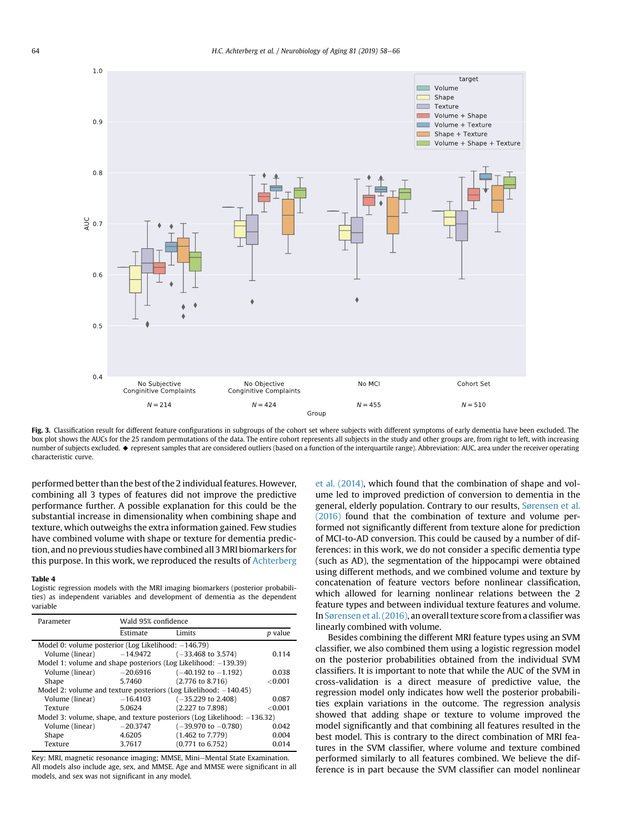<span id="page-7-0"></span>

Fig. 3. Classification result for different feature configurations in subgroups of the cohort set where subjects with different symptoms of early dementia have been excluded. The box plot shows the AUCs for the 25 random permutations of the data. The entire cohort represents all subjects in the study and other groups are, from right to left, with increasing number of subjects excluded.  $\bullet$  represent samples that are considered outliers (based on a function of the interquartile range). Abbreviation: AUC, area under the receiver operating characteristic curve.

performed better than the best of the 2 individual features. However, combining all 3 types of features did not improve the predictive performance further. A possible explanation for this could be the substantial increase in dimensionality when combining shape and texture, which outweighs the extra information gained. Few studies have combined volume with shape or texture for dementia prediction, and no previous studies have combined all 3MRI biomarkers for this purpose. In this work, we reproduced the results of [Achterberg](#page-8-0)

#### Table 4

Logistic regression models with the MRI imaging biomarkers (posterior probabilities) as independent variables and development of dementia as the dependent variable

| Parameter                                                                   | Wald 95% confidence |                                                                   |                |  |  |  |  |  |
|-----------------------------------------------------------------------------|---------------------|-------------------------------------------------------------------|----------------|--|--|--|--|--|
|                                                                             | Estimate            | Limits                                                            | <i>p</i> value |  |  |  |  |  |
| Model 0: volume posterior (Log Likelihood: $-146.79$ )                      |                     |                                                                   |                |  |  |  |  |  |
| Volume (linear) $-14.9472$                                                  |                     | $(-33.468$ to 3.574)                                              | 0.114          |  |  |  |  |  |
|                                                                             |                     | Model 1: volume and shape posteriors (Log Likelihood: $-139.39$ ) |                |  |  |  |  |  |
| Volume (linear)                                                             | $-20.6916$          | $(-40.192 \text{ to } -1.192)$                                    | 0.038          |  |  |  |  |  |
| Shape                                                                       | 5.7460              | $(2.776 \text{ to } 8.716)$                                       | < 0.001        |  |  |  |  |  |
| Model 2; volume and texture posteriors (Log Likelihood: $-140.45$ )         |                     |                                                                   |                |  |  |  |  |  |
| Volume (linear)                                                             | $-16.4103$          | $(-35,229 \text{ to } 2,408)$                                     | 0.087          |  |  |  |  |  |
| Texture                                                                     | 5.0624              | (2.227 to 7.898)                                                  | <0.001         |  |  |  |  |  |
| Model 3: volume, shape, and texture posteriors (Log Likelihood: $-136.32$ ) |                     |                                                                   |                |  |  |  |  |  |
| Volume (linear)                                                             | $-20.3747$          | $(-39.970 \text{ to } -0.780)$                                    | 0.042          |  |  |  |  |  |
| Shape                                                                       | 4.6205              | $(1.462 \text{ to } 7.779)$                                       | 0.004          |  |  |  |  |  |
| Texture                                                                     | 3.7617              | $(0.771$ to 6.752)                                                | 0.014          |  |  |  |  |  |

Key: MRI, magnetic resonance imaging; MMSE, Mini-Mental State Examination. All models also include age, sex, and MMSE. Age and MMSE were significant in all models, and sex was not significant in any model.

[et al. \(2014\)](#page-8-0), which found that the combination of shape and volume led to improved prediction of conversion to dementia in the general, elderly population. Contrary to our results, [Sørensen et al.](#page-9-0) [\(2016\)](#page-9-0) found that the combination of texture and volume performed not significantly different from texture alone for prediction of MCI-to-AD conversion. This could be caused by a number of differences: in this work, we do not consider a specific dementia type (such as AD), the segmentation of the hippocampi were obtained using different methods, and we combined volume and texture by concatenation of feature vectors before nonlinear classification, which allowed for learning nonlinear relations between the 2 feature types and between individual texture features and volume. In [Sørensen et al. \(2016\)](#page-9-0), an overall texture score from a classifier was linearly combined with volume.

Besides combining the different MRI feature types using an SVM classifier, we also combined them using a logistic regression model on the posterior probabilities obtained from the individual SVM classifiers. It is important to note that while the AUC of the SVM in cross-validation is a direct measure of predictive value, the regression model only indicates how well the posterior probabilities explain variations in the outcome. The regression analysis showed that adding shape or texture to volume improved the model significantly and that combining all features resulted in the best model. This is contrary to the direct combination of MRI features in the SVM classifier, where volume and texture combined performed similarly to all features combined. We believe the difference is in part because the SVM classifier can model nonlinear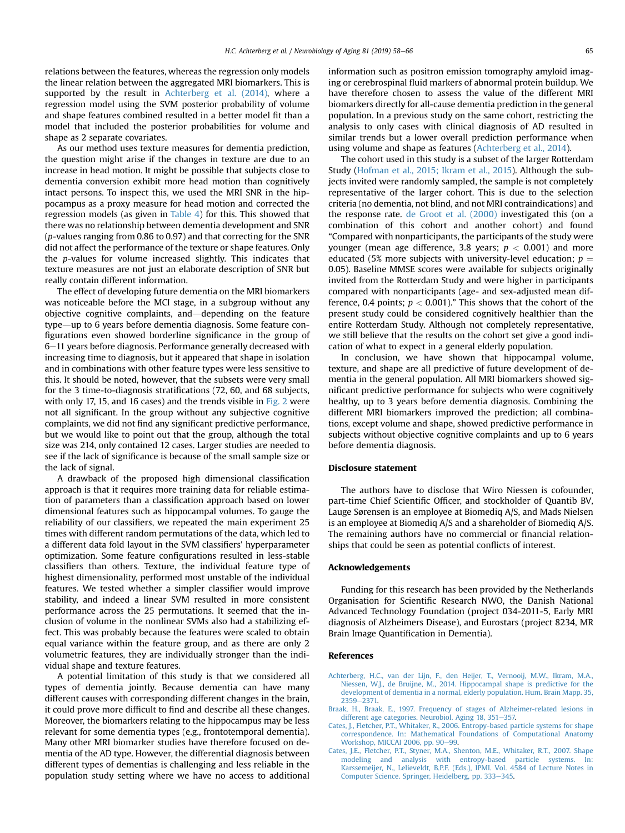<span id="page-8-0"></span>relations between the features, whereas the regression only models the linear relation between the aggregated MRI biomarkers. This is supported by the result in Achterberg et al. (2014), where a regression model using the SVM posterior probability of volume and shape features combined resulted in a better model fit than a model that included the posterior probabilities for volume and shape as 2 separate covariates.

As our method uses texture measures for dementia prediction, the question might arise if the changes in texture are due to an increase in head motion. It might be possible that subjects close to dementia conversion exhibit more head motion than cognitively intact persons. To inspect this, we used the MRI SNR in the hippocampus as a proxy measure for head motion and corrected the regression models (as given in [Table 4\)](#page-7-0) for this. This showed that there was no relationship between dementia development and SNR (p-values ranging from 0.86 to 0.97) and that correcting for the SNR did not affect the performance of the texture or shape features. Only the p-values for volume increased slightly. This indicates that texture measures are not just an elaborate description of SNR but really contain different information.

The effect of developing future dementia on the MRI biomarkers was noticeable before the MCI stage, in a subgroup without any objective cognitive complaints, and—depending on the feature type-up to 6 years before dementia diagnosis. Some feature configurations even showed borderline significance in the group of 6-11 years before diagnosis. Performance generally decreased with increasing time to diagnosis, but it appeared that shape in isolation and in combinations with other feature types were less sensitive to this. It should be noted, however, that the subsets were very small for the 3 time-to-diagnosis stratifications (72, 60, and 68 subjects, with only 17, 15, and 16 cases) and the trends visible in [Fig. 2](#page-5-0) were not all significant. In the group without any subjective cognitive complaints, we did not find any significant predictive performance, but we would like to point out that the group, although the total size was 214, only contained 12 cases. Larger studies are needed to see if the lack of significance is because of the small sample size or the lack of signal.

A drawback of the proposed high dimensional classification approach is that it requires more training data for reliable estimation of parameters than a classification approach based on lower dimensional features such as hippocampal volumes. To gauge the reliability of our classifiers, we repeated the main experiment 25 times with different random permutations of the data, which led to a different data fold layout in the SVM classifiers' hyperparameter optimization. Some feature configurations resulted in less-stable classifiers than others. Texture, the individual feature type of highest dimensionality, performed most unstable of the individual features. We tested whether a simpler classifier would improve stability, and indeed a linear SVM resulted in more consistent performance across the 25 permutations. It seemed that the inclusion of volume in the nonlinear SVMs also had a stabilizing effect. This was probably because the features were scaled to obtain equal variance within the feature group, and as there are only 2 volumetric features, they are individually stronger than the individual shape and texture features.

A potential limitation of this study is that we considered all types of dementia jointly. Because dementia can have many different causes with corresponding different changes in the brain, it could prove more difficult to find and describe all these changes. Moreover, the biomarkers relating to the hippocampus may be less relevant for some dementia types (e.g., frontotemporal dementia). Many other MRI biomarker studies have therefore focused on dementia of the AD type. However, the differential diagnosis between different types of dementias is challenging and less reliable in the population study setting where we have no access to additional

information such as positron emission tomography amyloid imaging or cerebrospinal fluid markers of abnormal protein buildup. We have therefore chosen to assess the value of the different MRI biomarkers directly for all-cause dementia prediction in the general population. In a previous study on the same cohort, restricting the analysis to only cases with clinical diagnosis of AD resulted in similar trends but a lower overall prediction performance when using volume and shape as features (Achterberg et al., 2014).

The cohort used in this study is a subset of the larger Rotterdam Study [\(Hofman et al., 2015; Ikram et al., 2015\)](#page-9-0). Although the subjects invited were randomly sampled, the sample is not completely representative of the larger cohort. This is due to the selection criteria (no dementia, not blind, and not MRI contraindications) and the response rate. [de Groot et al. \(2000\)](#page-9-0) investigated this (on a combination of this cohort and another cohort) and found "Compared with nonparticipants, the participants of the study were younger (mean age difference, 3.8 years;  $p < 0.001$ ) and more educated (5% more subjects with university-level education;  $p =$ 0.05). Baseline MMSE scores were available for subjects originally invited from the Rotterdam Study and were higher in participants compared with nonparticipants (age- and sex-adjusted mean difference, 0.4 points;  $p < 0.001$ )." This shows that the cohort of the present study could be considered cognitively healthier than the entire Rotterdam Study. Although not completely representative, we still believe that the results on the cohort set give a good indication of what to expect in a general elderly population.

In conclusion, we have shown that hippocampal volume, texture, and shape are all predictive of future development of dementia in the general population. All MRI biomarkers showed significant predictive performance for subjects who were cognitively healthy, up to 3 years before dementia diagnosis. Combining the different MRI biomarkers improved the prediction; all combinations, except volume and shape, showed predictive performance in subjects without objective cognitive complaints and up to 6 years before dementia diagnosis.

### Disclosure statement

The authors have to disclose that Wiro Niessen is cofounder, part-time Chief Scientific Officer, and stockholder of Quantib BV, Lauge Sørensen is an employee at Biomediq A/S, and Mads Nielsen is an employee at Biomediq A/S and a shareholder of Biomediq A/S. The remaining authors have no commercial or financial relationships that could be seen as potential conflicts of interest.

#### Acknowledgements

Funding for this research has been provided by the Netherlands Organisation for Scientific Research NWO, the Danish National Advanced Technology Foundation (project 034-2011-5, Early MRI diagnosis of Alzheimers Disease), and Eurostars (project 8234, MR Brain Image Quantification in Dementia).

#### References

- [Achterberg, H.C., van der Lijn, F., den Heijer, T., Vernooij, M.W., Ikram, M.A.,](http://refhub.elsevier.com/S0197-4580(19)30142-3/sref1) [Niessen, W.J., de Bruijne, M., 2014. Hippocampal shape is predictive for the](http://refhub.elsevier.com/S0197-4580(19)30142-3/sref1) [development of dementia in a normal, elderly population. Hum. Brain Mapp. 35,](http://refhub.elsevier.com/S0197-4580(19)30142-3/sref1) [2359](http://refhub.elsevier.com/S0197-4580(19)30142-3/sref1)-[2371.](http://refhub.elsevier.com/S0197-4580(19)30142-3/sref1)
- [Braak, H., Braak, E., 1997. Frequency of stages of Alzheimer-related lesions in](http://refhub.elsevier.com/S0197-4580(19)30142-3/sref2) [different age categories. Neurobiol. Aging 18, 351](http://refhub.elsevier.com/S0197-4580(19)30142-3/sref2)-[357.](http://refhub.elsevier.com/S0197-4580(19)30142-3/sref2)
- [Cates, J., Fletcher, P.T., Whitaker, R., 2006. Entropy-based particle systems for shape](http://refhub.elsevier.com/S0197-4580(19)30142-3/sref3) [correspondence. In: Mathematical Foundations of Computational Anatomy](http://refhub.elsevier.com/S0197-4580(19)30142-3/sref3) [Workshop, MICCAI 2006, pp. 90](http://refhub.elsevier.com/S0197-4580(19)30142-3/sref3)-[99.](http://refhub.elsevier.com/S0197-4580(19)30142-3/sref3)
- [Cates, J.E., Fletcher, P.T., Styner, M.A., Shenton, M.E., Whitaker, R.T., 2007. Shape](http://refhub.elsevier.com/S0197-4580(19)30142-3/sref4) [modeling and analysis with entropy-based particle systems. In:](http://refhub.elsevier.com/S0197-4580(19)30142-3/sref4) [Karssemeijer, N., Lelieveldt, B.P.F. \(Eds.\), IPMI. Vol. 4584 of Lecture Notes in](http://refhub.elsevier.com/S0197-4580(19)30142-3/sref4) [Computer Science. Springer, Heidelberg, pp. 333](http://refhub.elsevier.com/S0197-4580(19)30142-3/sref4)-[345.](http://refhub.elsevier.com/S0197-4580(19)30142-3/sref4)